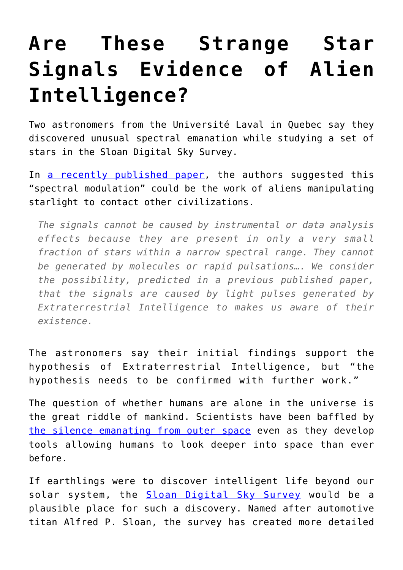## **[Are These Strange Star](https://intellectualtakeout.org/2016/10/are-these-strange-star-signals-evidence-of-alien-intelligence/) [Signals Evidence of Alien](https://intellectualtakeout.org/2016/10/are-these-strange-star-signals-evidence-of-alien-intelligence/) [Intelligence?](https://intellectualtakeout.org/2016/10/are-these-strange-star-signals-evidence-of-alien-intelligence/)**

Two astronomers from the Université Laval in Quebec say they discovered unusual spectral emanation while studying a set of stars in the Sloan Digital Sky Survey.

In [a recently published paper](https://arxiv.org/abs/1610.03031), the authors suggested this "spectral modulation" could be the work of aliens manipulating starlight to contact other civilizations.

*The signals cannot be caused by instrumental or data analysis effects because they are present in only a very small fraction of stars within a narrow spectral range. They cannot be generated by molecules or rapid pulsations…. We consider the possibility, predicted in a previous published paper, that the signals are caused by light pulses generated by Extraterrestrial Intelligence to makes us aware of their existence.*

The astronomers say their initial findings support the hypothesis of Extraterrestrial Intelligence, but "the hypothesis needs to be confirmed with further work."

The question of whether humans are alone in the universe is the great riddle of mankind. Scientists have been baffled by [the silence emanating from outer space](https://www.intellectualtakeout.org/blog/outer-space-why-have-we-heard-nothing) even as they develop tools allowing humans to look deeper into space than ever before.

If earthlings were to discover intelligent life beyond our solar system, the [Sloan Digital Sky Survey](http://www.sdss.org/) would be a plausible place for such a discovery. Named after automotive titan Alfred P. Sloan, the survey has created more detailed